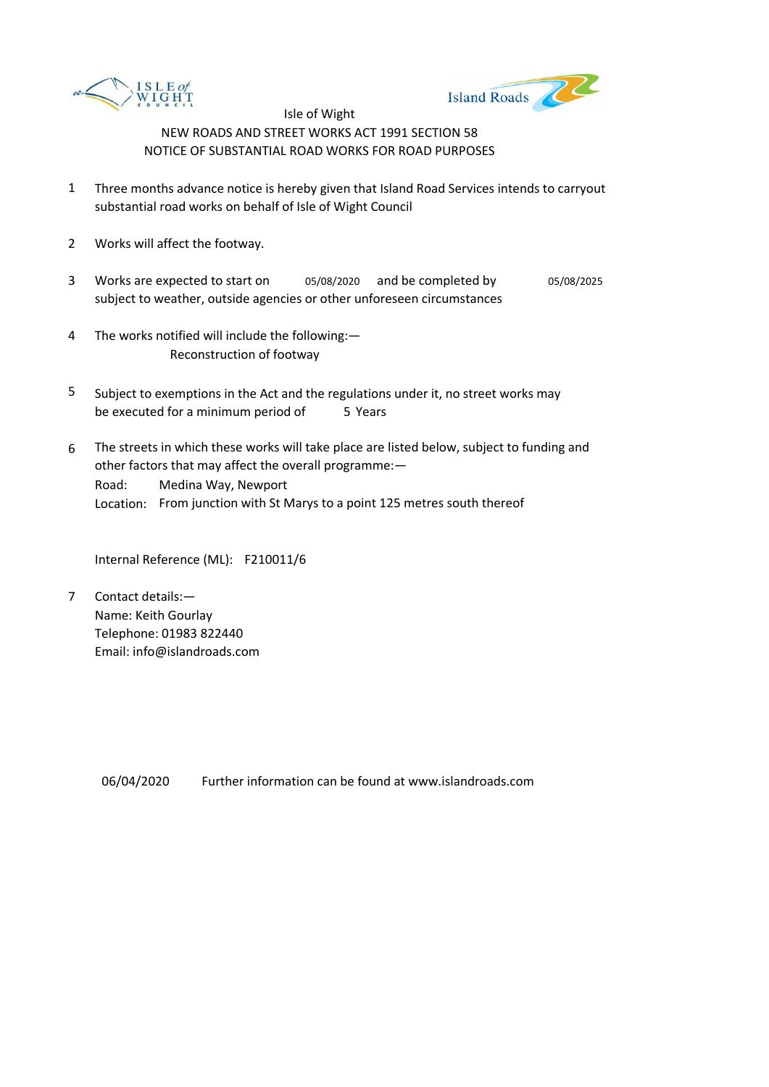



- 1 Three months advance notice is hereby given that Island Road Services intends to carryout substantial road works on behalf of Isle of Wight Council
- 2 Works will affect the footway.
- 3 Works are expected to start on  $0.5/08/2020$  and be completed by  $0.5/08/2025$ subject to weather, outside agencies or other unforeseen circumstances
- 4 The works notified will include the following:— Reconstruction of footway
- 5 be executed for a minimum period of 5 Years Subject to exemptions in the Act and the regulations under it, no street works may
- 6 Road: Location: From junction with St Marys to a point 125 metres south thereof The streets in which these works will take place are listed below, subject to funding and other factors that may affect the overall programme:— Medina Way, Newport

Internal Reference (ML): F210011/6

7 Contact details:— Name: Keith Gourlay Telephone: 01983 822440 Email: info@islandroads.com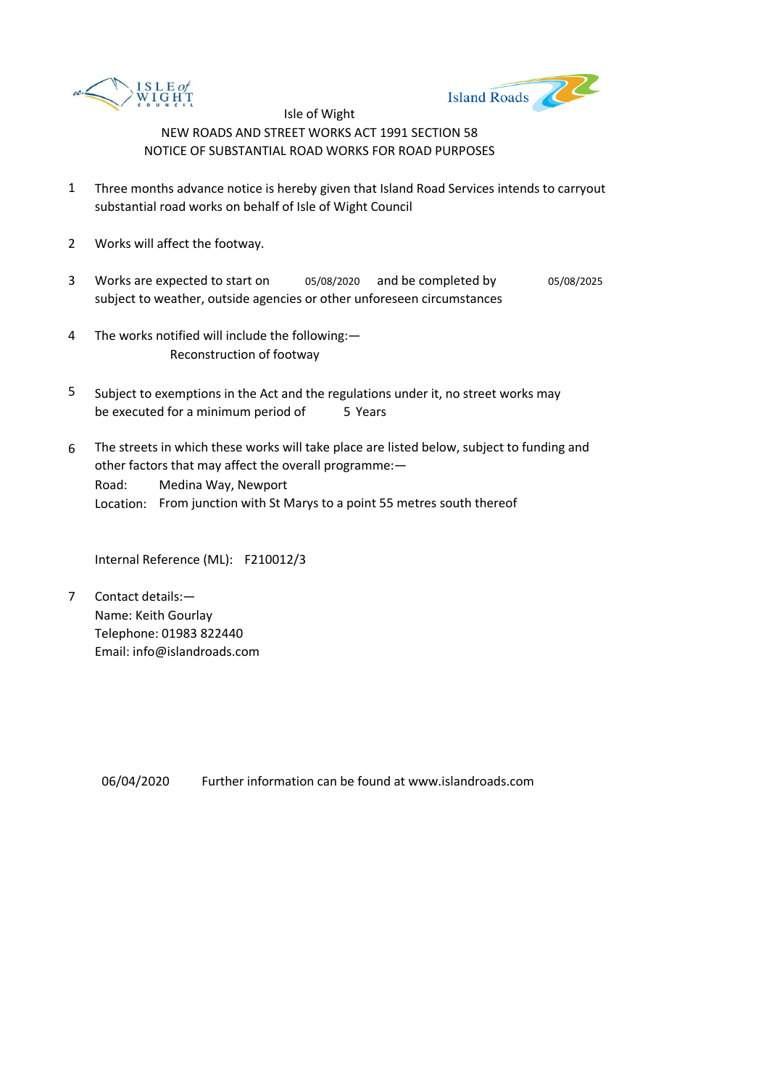



- 1 Three months advance notice is hereby given that Island Road Services intends to carryout substantial road works on behalf of Isle of Wight Council
- 2 Works will affect the footway.
- 3 Works are expected to start on  $0.5/08/2020$  and be completed by  $0.5/08/2025$ subject to weather, outside agencies or other unforeseen circumstances
- 4 The works notified will include the following:— Reconstruction of footway
- 5 be executed for a minimum period of 5 Years Subject to exemptions in the Act and the regulations under it, no street works may
- 6 Road: Location: From junction with St Marys to a point 55 metres south thereof The streets in which these works will take place are listed below, subject to funding and other factors that may affect the overall programme:— Medina Way, Newport

Internal Reference (ML): F210012/3

7 Contact details:— Name: Keith Gourlay Telephone: 01983 822440 Email: info@islandroads.com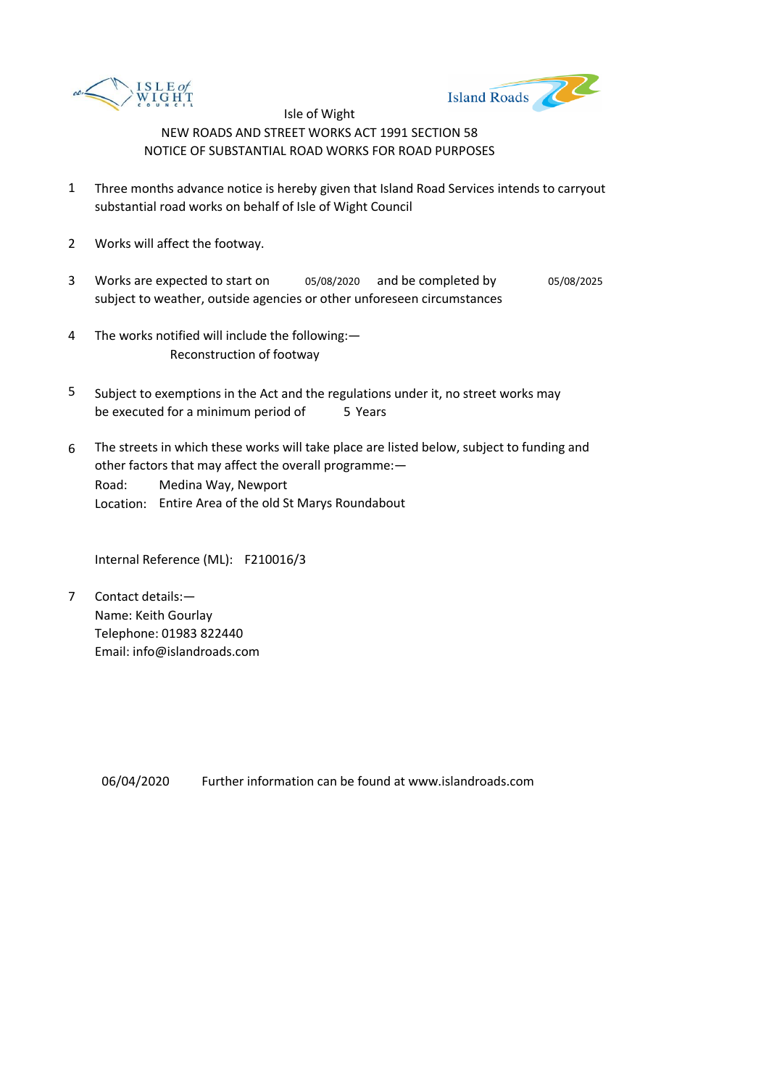



- 1 Three months advance notice is hereby given that Island Road Services intends to carryout substantial road works on behalf of Isle of Wight Council
- 2 Works will affect the footway.
- 3 Works are expected to start on  $0.5/08/2020$  and be completed by  $0.5/08/2025$ subject to weather, outside agencies or other unforeseen circumstances
- 4 The works notified will include the following:— Reconstruction of footway
- 5 be executed for a minimum period of 5 Years Subject to exemptions in the Act and the regulations under it, no street works may
- 6 Road: Location: Entire Area of the old St Marys Roundabout The streets in which these works will take place are listed below, subject to funding and other factors that may affect the overall programme:— Medina Way, Newport

Internal Reference (ML): F210016/3

7 Contact details:— Name: Keith Gourlay Telephone: 01983 822440 Email: info@islandroads.com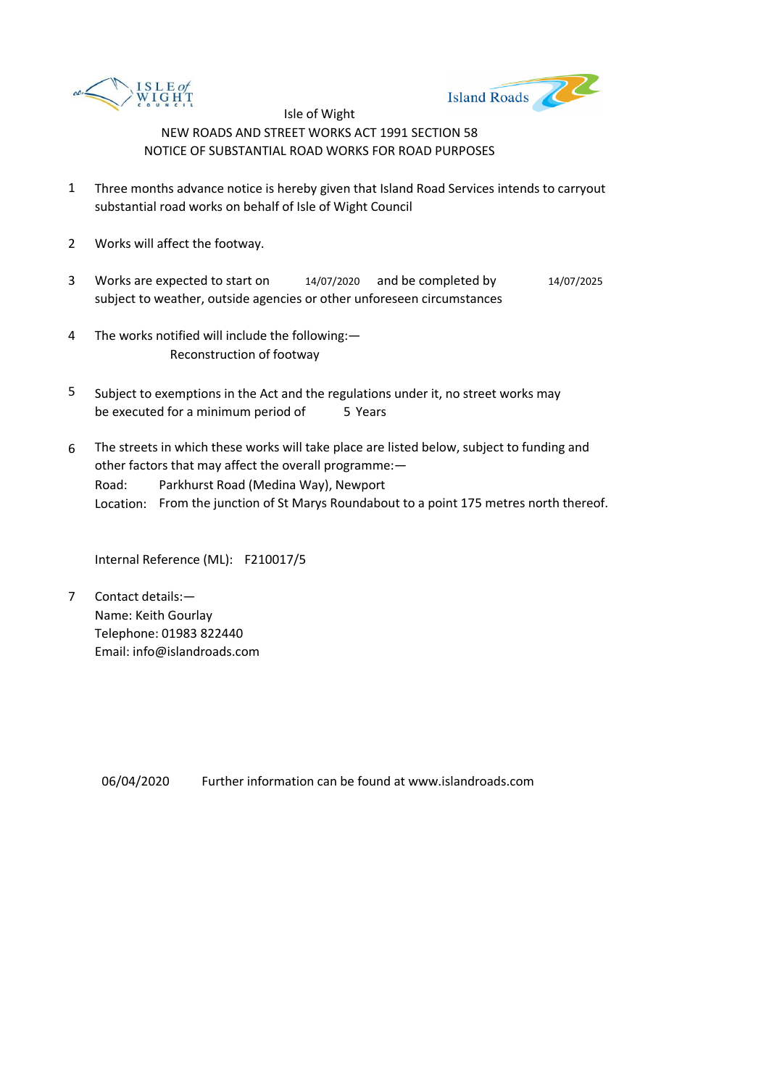



- 1 Three months advance notice is hereby given that Island Road Services intends to carryout substantial road works on behalf of Isle of Wight Council
- 2 Works will affect the footway.
- 3 Works are expected to start on 14/07/2020 and be completed by 14/07/2025 subject to weather, outside agencies or other unforeseen circumstances
- 4 The works notified will include the following:— Reconstruction of footway
- 5 be executed for a minimum period of 5 Years Subject to exemptions in the Act and the regulations under it, no street works may
- 6 Road: Location: From the junction of St Marys Roundabout to a point 175 metres north thereof. The streets in which these works will take place are listed below, subject to funding and other factors that may affect the overall programme:— Parkhurst Road (Medina Way), Newport

Internal Reference (ML): F210017/5

7 Contact details:— Name: Keith Gourlay Telephone: 01983 822440 Email: info@islandroads.com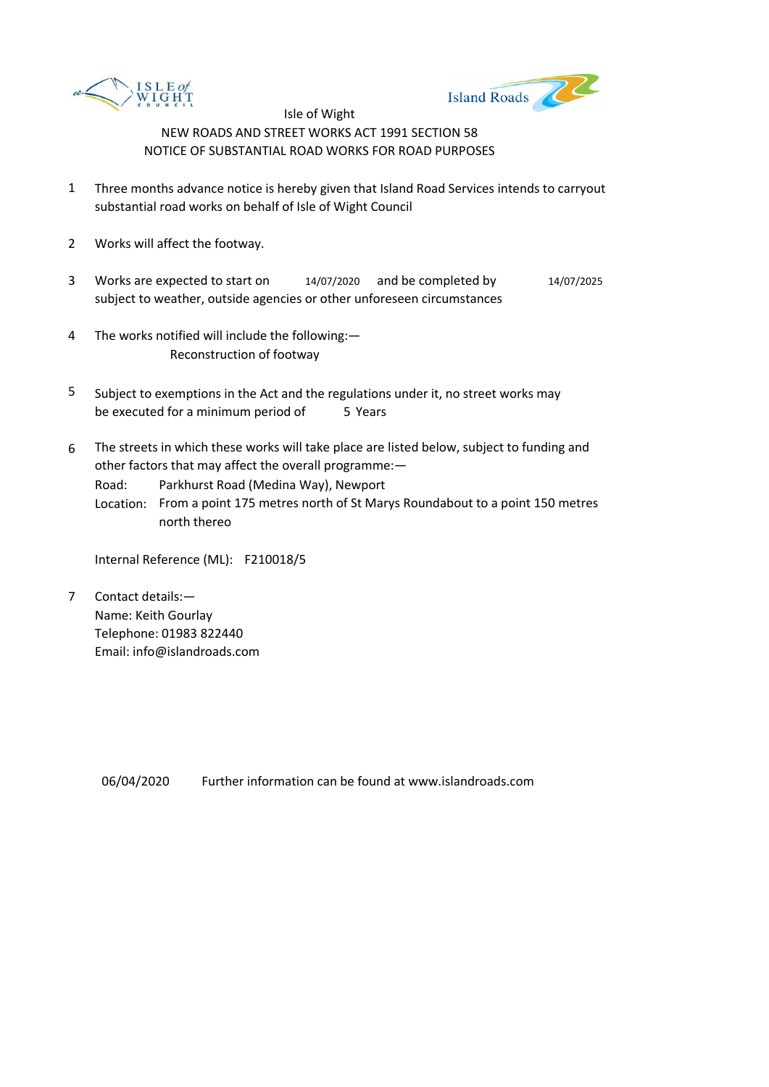



- 1 Three months advance notice is hereby given that Island Road Services intends to carryout substantial road works on behalf of Isle of Wight Council
- 2 Works will affect the footway.
- 3 Works are expected to start on 14/07/2020 and be completed by 14/07/2025 subject to weather, outside agencies or other unforeseen circumstances
- 4 The works notified will include the following:— Reconstruction of footway
- 5 be executed for a minimum period of 5 Years Subject to exemptions in the Act and the regulations under it, no street works may
- 6 The streets in which these works will take place are listed below, subject to funding and other factors that may affect the overall programme:—
	- Road: Parkhurst Road (Medina Way), Newport
		- Location: From a point 175 metres north of St Marys Roundabout to a point 150 metres north thereo

Internal Reference (ML): F210018/5

7 Contact details:— Name: Keith Gourlay Telephone: 01983 822440 Email: info@islandroads.com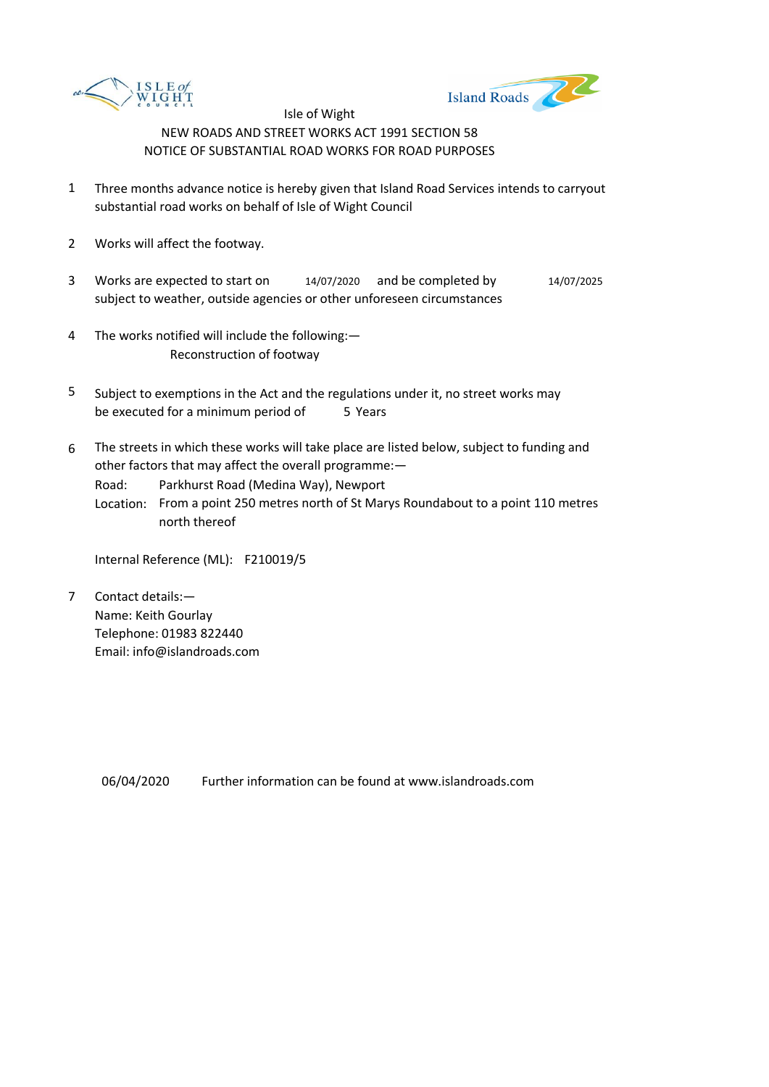



- 1 Three months advance notice is hereby given that Island Road Services intends to carryout substantial road works on behalf of Isle of Wight Council
- 2 Works will affect the footway.
- 3 Works are expected to start on 14/07/2020 and be completed by 14/07/2025 subject to weather, outside agencies or other unforeseen circumstances
- 4 The works notified will include the following:— Reconstruction of footway
- 5 be executed for a minimum period of 5 Years Subject to exemptions in the Act and the regulations under it, no street works may
- 6 The streets in which these works will take place are listed below, subject to funding and other factors that may affect the overall programme:—
	- Road: Parkhurst Road (Medina Way), Newport
		- Location: From a point 250 metres north of St Marys Roundabout to a point 110 metres north thereof

Internal Reference (ML): F210019/5

7 Contact details:— Name: Keith Gourlay Telephone: 01983 822440 Email: info@islandroads.com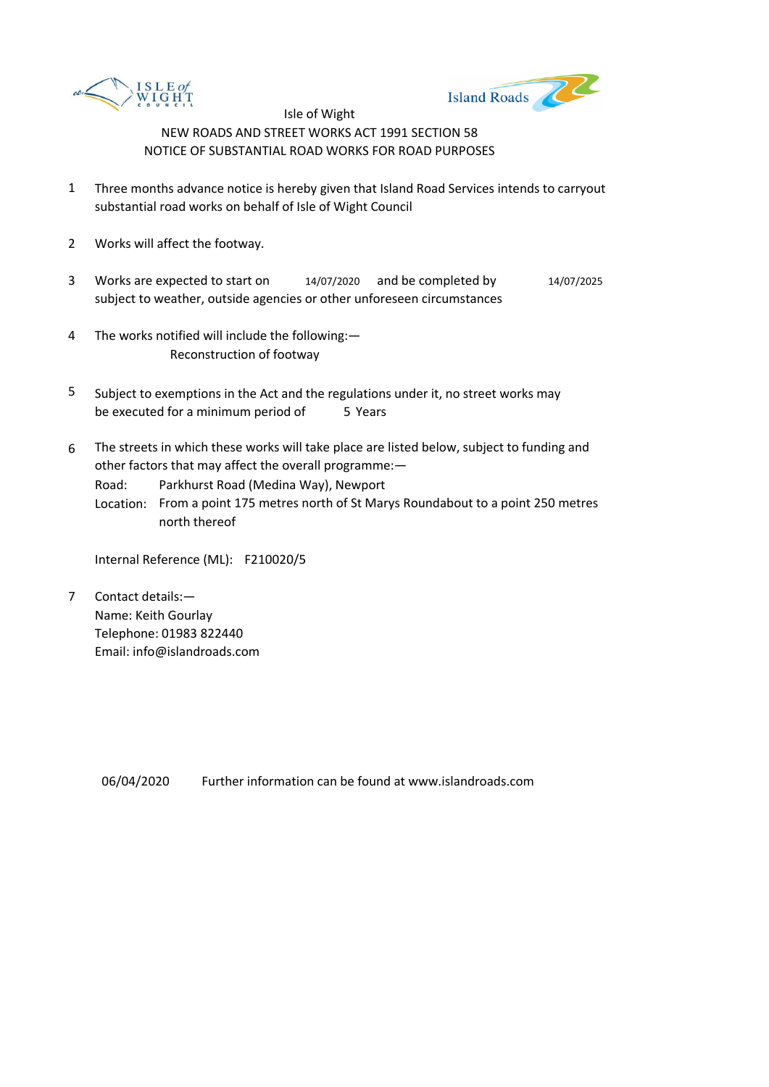



- 1 Three months advance notice is hereby given that Island Road Services intends to carryout substantial road works on behalf of Isle of Wight Council
- 2 Works will affect the footway.
- 3 Works are expected to start on 14/07/2020 and be completed by 14/07/2025 subject to weather, outside agencies or other unforeseen circumstances
- 4 The works notified will include the following:— Reconstruction of footway
- 5 be executed for a minimum period of 5 Years Subject to exemptions in the Act and the regulations under it, no street works may
- 6 The streets in which these works will take place are listed below, subject to funding and other factors that may affect the overall programme:—
	- Road: Parkhurst Road (Medina Way), Newport
		- Location: From a point 175 metres north of St Marys Roundabout to a point 250 metres north thereof

Internal Reference (ML): F210020/5

7 Contact details:— Name: Keith Gourlay Telephone: 01983 822440 Email: info@islandroads.com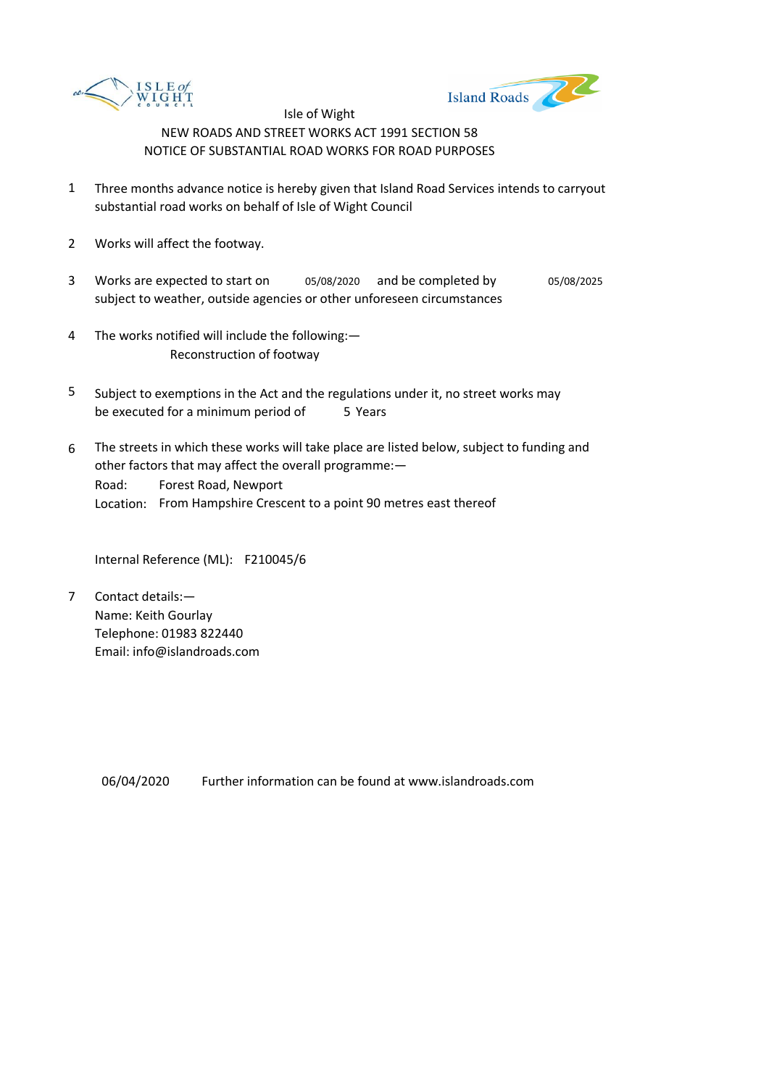



- 1 Three months advance notice is hereby given that Island Road Services intends to carryout substantial road works on behalf of Isle of Wight Council
- 2 Works will affect the footway.
- 3 Works are expected to start on  $0.5/08/2020$  and be completed by  $0.5/08/2025$ subject to weather, outside agencies or other unforeseen circumstances
- 4 The works notified will include the following:— Reconstruction of footway
- 5 be executed for a minimum period of 5 Years Subject to exemptions in the Act and the regulations under it, no street works may
- 6 Road: Location: From Hampshire Crescent to a point 90 metres east thereof The streets in which these works will take place are listed below, subject to funding and other factors that may affect the overall programme:— Forest Road, Newport

Internal Reference (ML): F210045/6

7 Contact details:— Name: Keith Gourlay Telephone: 01983 822440 Email: info@islandroads.com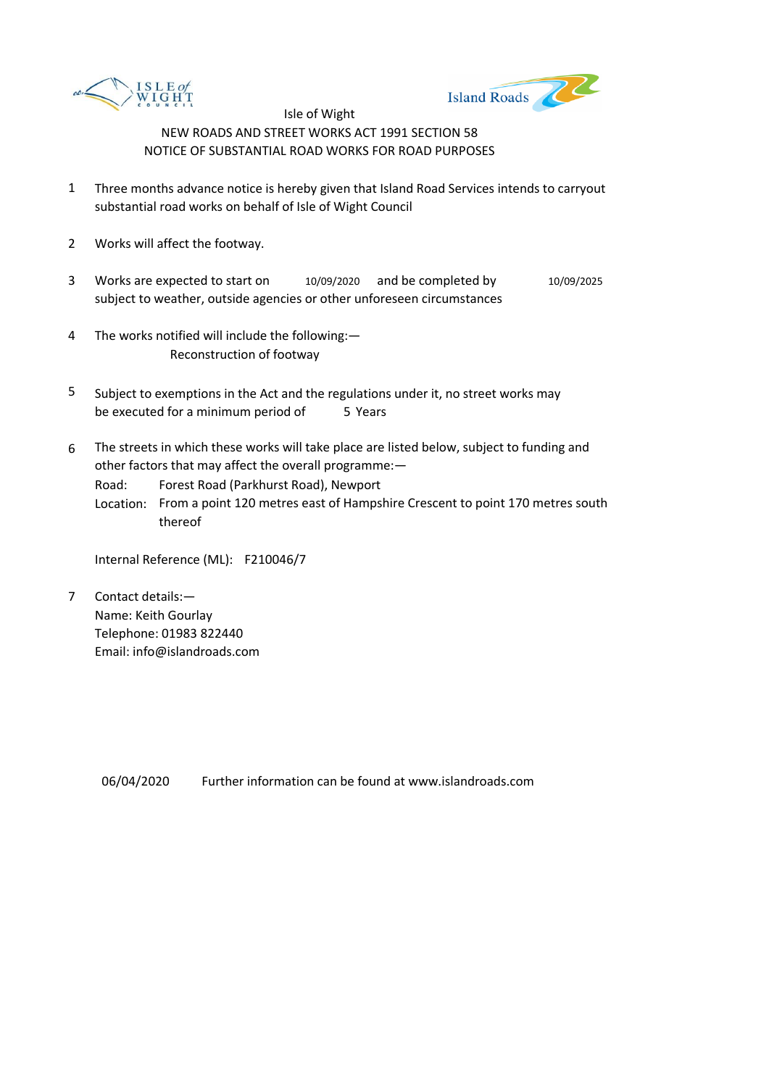



- 1 Three months advance notice is hereby given that Island Road Services intends to carryout substantial road works on behalf of Isle of Wight Council
- 2 Works will affect the footway.
- 3 Works are expected to start on subject to weather, outside agencies or other unforeseen circumstances 10/09/2020 and be completed by 10/09/2025
- 4 The works notified will include the following:— Reconstruction of footway
- 5 be executed for a minimum period of 5 Years Subject to exemptions in the Act and the regulations under it, no street works may
- 6 The streets in which these works will take place are listed below, subject to funding and other factors that may affect the overall programme:—
	- Road: Forest Road (Parkhurst Road), Newport
	- Location: From a point 120 metres east of Hampshire Crescent to point 170 metres south thereof

Internal Reference (ML): F210046/7

7 Contact details:— Name: Keith Gourlay Telephone: 01983 822440 Email: info@islandroads.com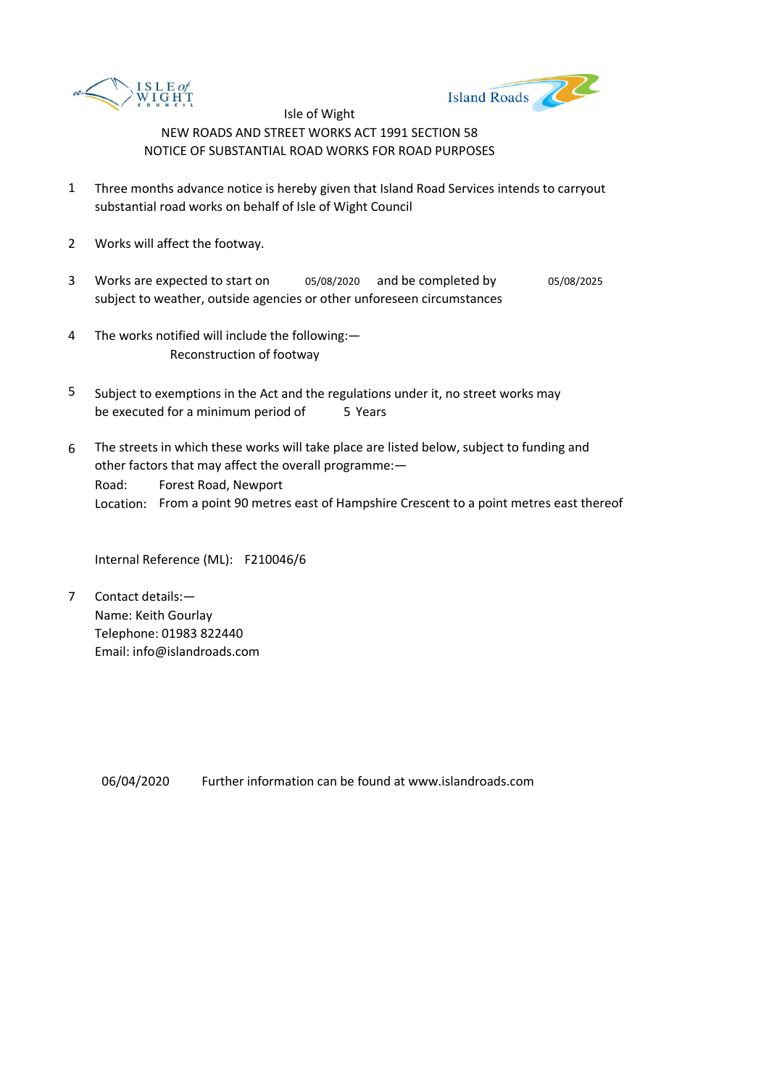



- 1 Three months advance notice is hereby given that Island Road Services intends to carryout substantial road works on behalf of Isle of Wight Council
- 2 Works will affect the footway.
- 3 Works are expected to start on  $0.5/08/2020$  and be completed by  $0.5/08/2025$ subject to weather, outside agencies or other unforeseen circumstances
- 4 The works notified will include the following:— Reconstruction of footway
- 5 be executed for a minimum period of 5 Years Subject to exemptions in the Act and the regulations under it, no street works may
- 6 Road: Location: From a point 90 metres east of Hampshire Crescent to a point metres east thereof The streets in which these works will take place are listed below, subject to funding and other factors that may affect the overall programme:— Forest Road, Newport

Internal Reference (ML): F210046/6

7 Contact details:— Name: Keith Gourlay Telephone: 01983 822440 Email: info@islandroads.com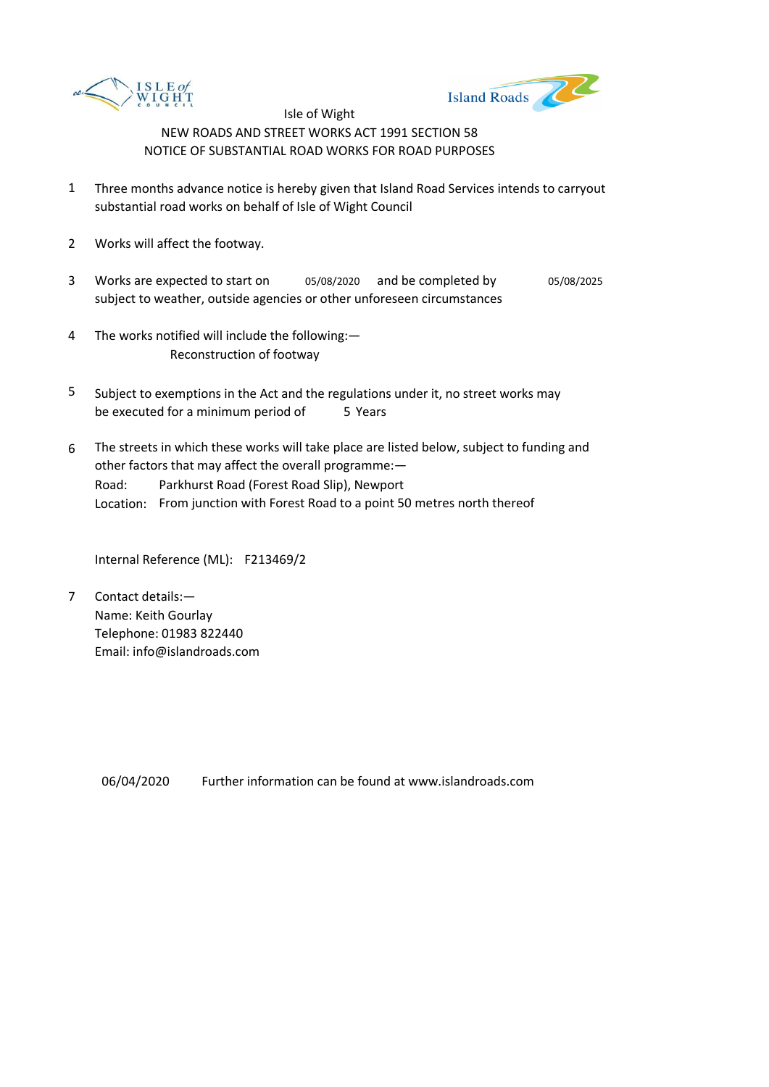



- 1 Three months advance notice is hereby given that Island Road Services intends to carryout substantial road works on behalf of Isle of Wight Council
- 2 Works will affect the footway.
- 3 Works are expected to start on  $0.5/08/2020$  and be completed by  $0.5/08/2025$ subject to weather, outside agencies or other unforeseen circumstances
- 4 The works notified will include the following:— Reconstruction of footway
- 5 be executed for a minimum period of 5 Years Subject to exemptions in the Act and the regulations under it, no street works may
- 6 Road: Location: From junction with Forest Road to a point 50 metres north thereof The streets in which these works will take place are listed below, subject to funding and other factors that may affect the overall programme:— Parkhurst Road (Forest Road Slip), Newport

Internal Reference (ML): F213469/2

7 Contact details:— Name: Keith Gourlay Telephone: 01983 822440 Email: info@islandroads.com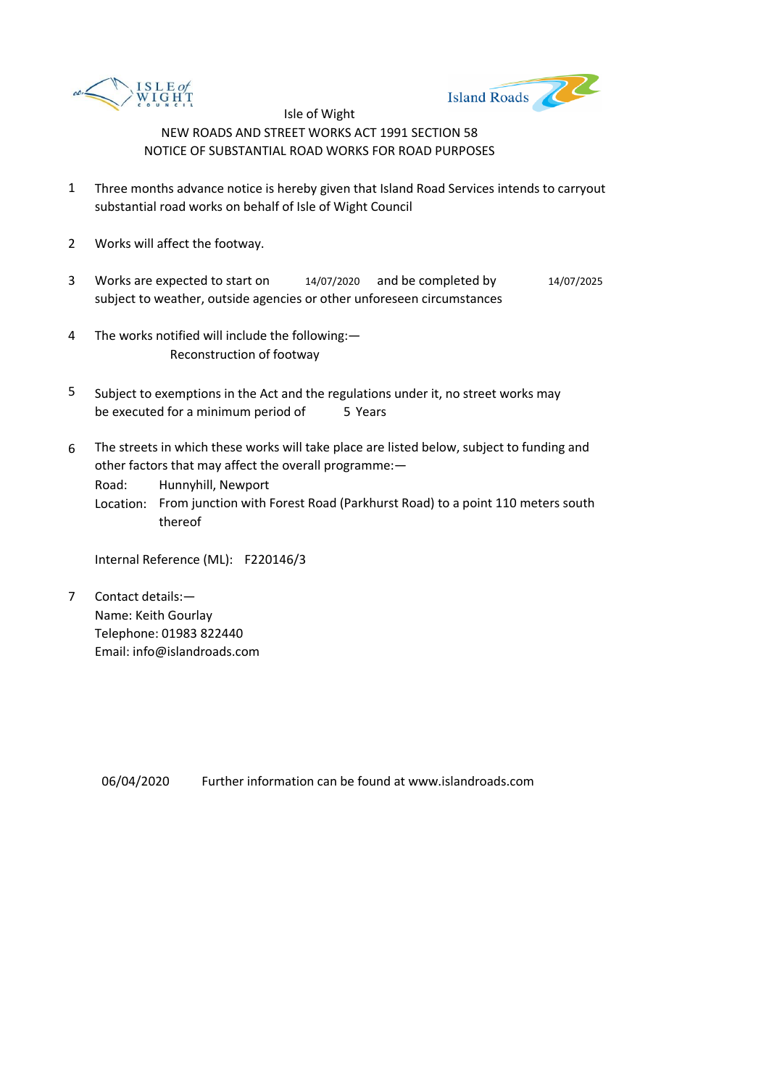



- 1 Three months advance notice is hereby given that Island Road Services intends to carryout substantial road works on behalf of Isle of Wight Council
- 2 Works will affect the footway.
- 3 Works are expected to start on subject to weather, outside agencies or other unforeseen circumstances 14/07/2020 and be completed by 14/07/2025
- 4 The works notified will include the following:— Reconstruction of footway
- 5 be executed for a minimum period of 5 Years Subject to exemptions in the Act and the regulations under it, no street works may
- 6 The streets in which these works will take place are listed below, subject to funding and other factors that may affect the overall programme:—

Road: Hunnyhill, Newport

Location: From junction with Forest Road (Parkhurst Road) to a point 110 meters south thereof

Internal Reference (ML): F220146/3

7 Contact details:— Name: Keith Gourlay Telephone: 01983 822440 Email: info@islandroads.com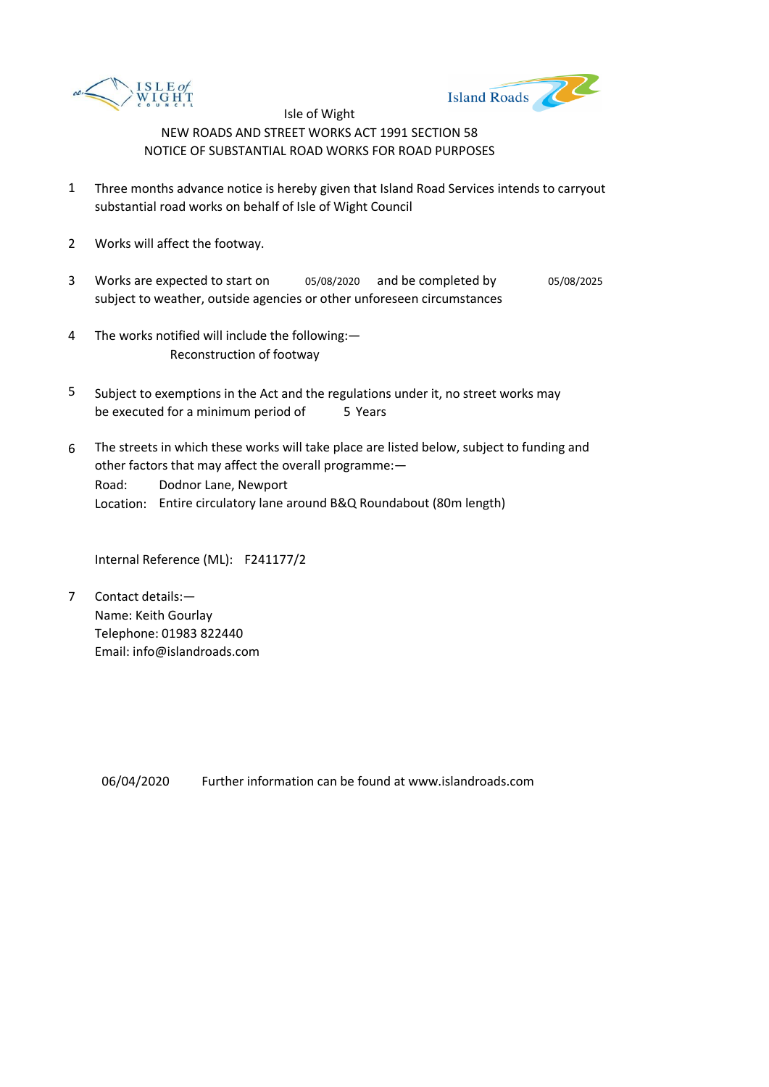



- 1 Three months advance notice is hereby given that Island Road Services intends to carryout substantial road works on behalf of Isle of Wight Council
- 2 Works will affect the footway.
- 3 Works are expected to start on  $0.5/08/2020$  and be completed by  $0.5/08/2025$ subject to weather, outside agencies or other unforeseen circumstances
- 4 The works notified will include the following:— Reconstruction of footway
- 5 be executed for a minimum period of 5 Years Subject to exemptions in the Act and the regulations under it, no street works may
- 6 Road: Location: Entire circulatory lane around B&Q Roundabout (80m length) The streets in which these works will take place are listed below, subject to funding and other factors that may affect the overall programme:— Dodnor Lane, Newport

Internal Reference (ML): F241177/2

7 Contact details:— Name: Keith Gourlay Telephone: 01983 822440 Email: info@islandroads.com